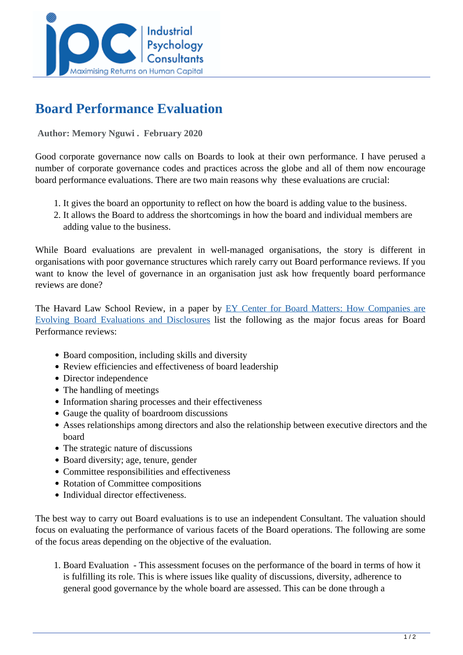

## **Board Performance Evaluation**

 **Author: Memory Nguwi . February 2020** 

Good corporate governance now calls on Boards to look at their own performance. I have perused a number of corporate governance codes and practices across the globe and all of them now encourage board performance evaluations. There are two main reasons why these evaluations are crucial:

- 1. It gives the board an opportunity to reflect on how the board is adding value to the business.
- 2. It allows the Board to address the shortcomings in how the board and individual members are adding value to the business.

While Board evaluations are prevalent in well-managed organisations, the story is different in organisations with poor governance structures which rarely carry out Board performance reviews. If you want to know the level of governance in an organisation just ask how frequently board performance reviews are done?

The Havard Law School Review, in a paper by [EY Center for Board Matters: How Companies are](https://assets.ey.com/content/dam/ey-sites/ey-com/en_us/topics/cbm/ey-how-companies-are-evolving-board-evaluations-and-disclosures.pdf) [Evolving Board Evaluations and Disclosures li](https://assets.ey.com/content/dam/ey-sites/ey-com/en_us/topics/cbm/ey-how-companies-are-evolving-board-evaluations-and-disclosures.pdf)st the following as the major focus areas for Board Performance reviews:

- Board composition, including skills and diversity
- Review efficiencies and effectiveness of board leadership
- Director independence
- The handling of meetings
- Information sharing processes and their effectiveness
- Gauge the quality of boardroom discussions
- Asses relationships among directors and also the relationship between executive directors and the board
- The strategic nature of discussions
- Board diversity; age, tenure, gender
- Committee responsibilities and effectiveness
- Rotation of Committee compositions
- Individual director effectiveness.

The best way to carry out Board evaluations is to use an independent Consultant. The valuation should focus on evaluating the performance of various facets of the Board operations. The following are some of the focus areas depending on the objective of the evaluation.

1. Board Evaluation - This assessment focuses on the performance of the board in terms of how it is fulfilling its role. This is where issues like quality of discussions, diversity, adherence to general good governance by the whole board are assessed. This can be done through a